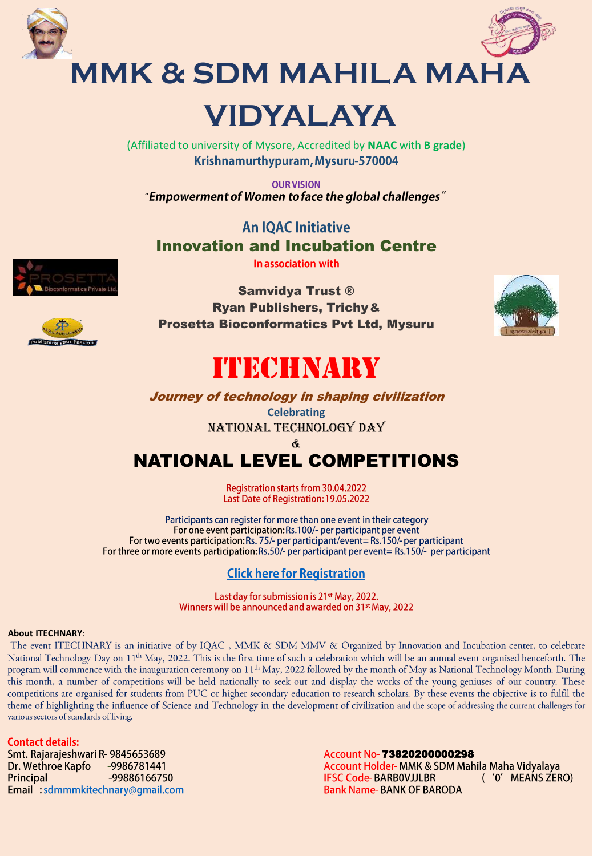



**MMK & SDM MAHILA MAHA VIDYALAYA**

> (Affiliated to university of Mysore, Accredited by **NAAC** with **B grade**) Krishnamurthypuram, Mysuru-570004

**OUR VISION** "Empowerment of Women to face the global challenges"

**An IOAC Initiative** Innovation and Incubation Centre In association with



Samvidya Trust ® Ryan Publishers, Trichy& Prosetta Bioconformatics Pvt Ltd, Mysuru





## ITECHNARY

Journey of technology in shaping civilization **Celebrating**

National Technology Day



### NATIONAL LEVEL COMPETITIONS

Registration starts from 30.04.2022 Last Date of Registration: 19.05.2022

Participants can register for more than one event in their category For one event participation: Rs.100/- per participant per event For two events participation: Rs. 75/- per participant/event= Rs. 150/- per participant For three or more events participation: Rs.50/- per participant per event= Rs.150/- per participant

### **Click here for Registration**

Last day for submission is 21<sup>st</sup> May, 2022. Winners will be announced and awarded on 31<sup>st</sup> May, 2022

#### **About ITECHNARY**:

The event ITECHNARY is an initiative of by IQAC, MMK & SDM MMV & Organized by Innovation and Incubation center, to celebrate National Technology Day on 11<sup>th</sup> May, 2022. This is the first time of such a celebration which will be an annual event organised henceforth. The program will commence with the inauguration ceremony on 11<sup>th</sup> May, 2022 followed by the month of May as National Technology Month. During this month, a number of competitions will be held nationally to seek out and display the works of the young geniuses of our country. These competitions are organised for students from PUC or higher secondary education to research scholars. By these events the objective is to fulfil the theme of highlighting the influence of Science and Technology in the development of civilization and the scope of addressing the current challenges for various sectors of standards of living.

**Contact details:** 

Smt. Rajarajeshwari R-9845653689 Dr. Wethroe Kapfo -9986781441 Principal -99886166750 Email : sdmmmkitechnary@gmail.com

Account No- 73820200000298<br>Account Holder- MMK & SDM Mahila Maha Vidyalaya **IFSC Code-BARBOVJJLBR**  $($  '0' MEANS ZERO) **Bank Name-BANK OF BARODA**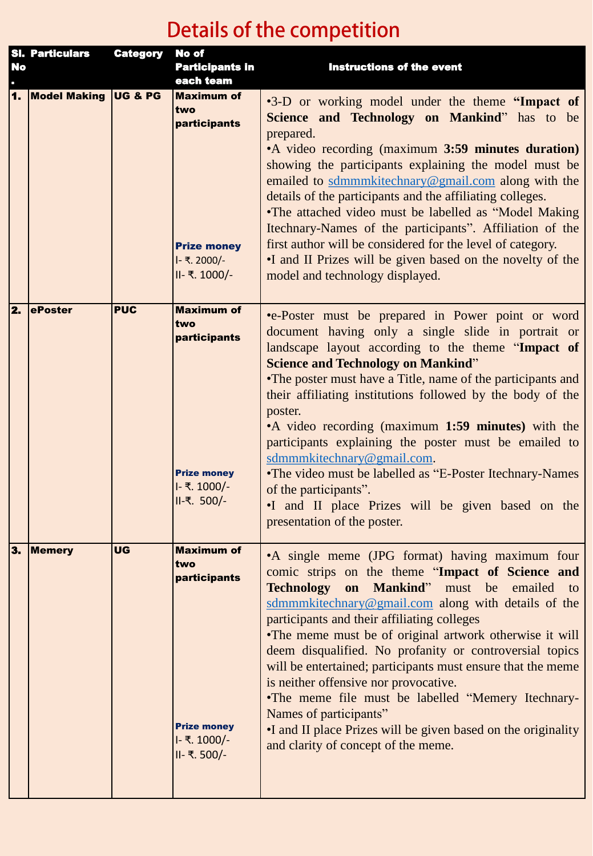# Details of the competition

| <b>No</b>                 | <b>SI. Particulars</b> | <b>Category</b>    | No of<br><b>Participants in</b>                                                                 | <b>Instructions of the event</b>                                                                                                                                                                                                                                                                                                                                                                                                                                                                                                                                                                                                                                                        |
|---------------------------|------------------------|--------------------|-------------------------------------------------------------------------------------------------|-----------------------------------------------------------------------------------------------------------------------------------------------------------------------------------------------------------------------------------------------------------------------------------------------------------------------------------------------------------------------------------------------------------------------------------------------------------------------------------------------------------------------------------------------------------------------------------------------------------------------------------------------------------------------------------------|
|                           |                        |                    | each team                                                                                       |                                                                                                                                                                                                                                                                                                                                                                                                                                                                                                                                                                                                                                                                                         |
| $\mathbf{1}$ .            | <b>Model Making</b>    | <b>UG &amp; PG</b> | <b>Maximum of</b><br>two<br>participants<br><b>Prize money</b><br>I- ₹. 2000/-<br>II- ₹. 1000/- | •3-D or working model under the theme "Impact of<br>Science and Technology on Mankind" has to be<br>prepared.<br>• A video recording (maximum 3:59 minutes duration)<br>showing the participants explaining the model must be<br>emailed to sdmmmkitechnary@gmail.com along with the<br>details of the participants and the affiliating colleges.<br>•The attached video must be labelled as "Model Making<br>Itechnary-Names of the participants". Affiliation of the<br>first author will be considered for the level of category.<br>•I and II Prizes will be given based on the novelty of the<br>model and technology displayed.                                                   |
| 2.                        | ePoster                | <b>PUC</b>         | <b>Maximum of</b><br>two<br>participants<br><b>Prize money</b><br>I- ₹. 1000/-<br>II-₹. 500/-   | •e-Poster must be prepared in Power point or word<br>document having only a single slide in portrait or<br>landscape layout according to the theme "Impact of<br><b>Science and Technology on Mankind"</b><br>• The poster must have a Title, name of the participants and<br>their affiliating institutions followed by the body of the<br>poster.<br>•A video recording (maximum 1:59 minutes) with the<br>participants explaining the poster must be emailed to<br>sdmmmkitechnary@gmail.com.<br>•The video must be labelled as "E-Poster Itechnary-Names"<br>of the participants".<br>I and II place Prizes will be given based on the<br>presentation of the poster.               |
| $\overline{\mathbf{3}}$ . | <b>Memery</b>          | <b>UG</b>          | <b>Maximum of</b><br>two<br>participants<br><b>Prize money</b><br>I- ₹. 1000/-<br>II- ₹. 500/-  | • A single meme (JPG format) having maximum four<br>comic strips on the theme "Impact of Science and<br><b>Technology</b><br>on Mankind" must be emailed to<br>sdmmmkitechnary@gmail.com along with details of the<br>participants and their affiliating colleges<br>•The meme must be of original artwork otherwise it will<br>deem disqualified. No profanity or controversial topics<br>will be entertained; participants must ensure that the meme<br>is neither offensive nor provocative.<br>•The meme file must be labelled "Memery Itechnary-<br>Names of participants"<br>•I and II place Prizes will be given based on the originality<br>and clarity of concept of the meme. |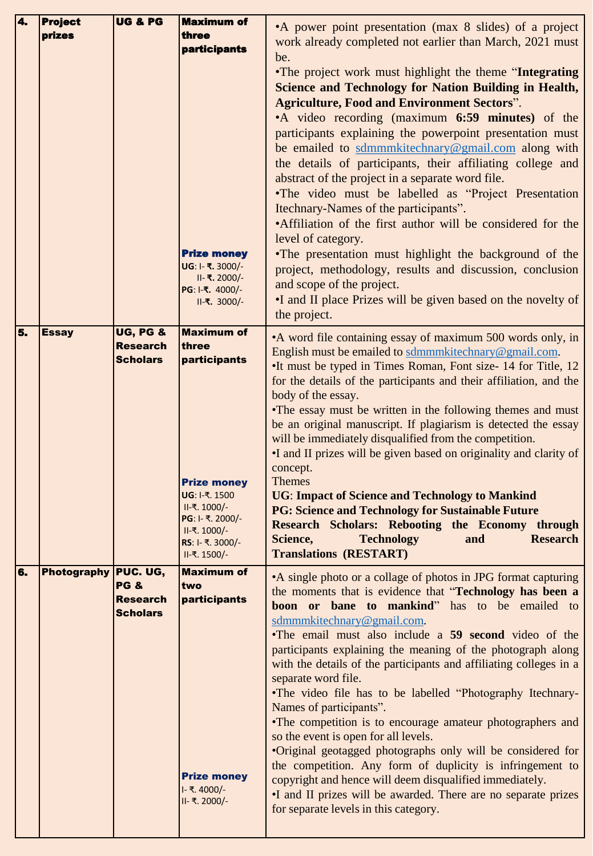| 4. | <b>Project</b>       | UG & PG                            | <b>Maximum of</b>                      |                                                                    |
|----|----------------------|------------------------------------|----------------------------------------|--------------------------------------------------------------------|
|    |                      |                                    |                                        | •A power point presentation (max 8 slides) of a project            |
|    | prizes               |                                    | three                                  | work already completed not earlier than March, 2021 must           |
|    |                      |                                    | <b>participants</b>                    | be.                                                                |
|    |                      |                                    |                                        | •The project work must highlight the theme "Integrating"           |
|    |                      |                                    |                                        | <b>Science and Technology for Nation Building in Health,</b>       |
|    |                      |                                    |                                        |                                                                    |
|    |                      |                                    |                                        | <b>Agriculture, Food and Environment Sectors".</b>                 |
|    |                      |                                    |                                        | •A video recording (maximum 6:59 minutes) of the                   |
|    |                      |                                    |                                        | participants explaining the powerpoint presentation must           |
|    |                      |                                    |                                        | be emailed to sdmmmkitechnary@gmail.com along with                 |
|    |                      |                                    |                                        | the details of participants, their affiliating college and         |
|    |                      |                                    |                                        | abstract of the project in a separate word file.                   |
|    |                      |                                    |                                        | •The video must be labelled as "Project Presentation               |
|    |                      |                                    |                                        | Itechnary-Names of the participants".                              |
|    |                      |                                    |                                        | •Affiliation of the first author will be considered for the        |
|    |                      |                                    |                                        |                                                                    |
|    |                      |                                    |                                        | level of category.                                                 |
|    |                      |                                    | <b>Prize money</b><br>UG: I- ₹. 3000/- | •The presentation must highlight the background of the             |
|    |                      |                                    | II- ₹. 2000/-                          | project, methodology, results and discussion, conclusion           |
|    |                      |                                    | PG: I-₹. 4000/-                        | and scope of the project.                                          |
|    |                      |                                    | II-₹. 3000/-                           | •I and II place Prizes will be given based on the novelty of       |
|    |                      |                                    |                                        | the project.                                                       |
| 5. | <b>Essay</b>         | <b>UG, PG &amp;</b>                | <b>Maximum of</b>                      | • A word file containing essay of maximum 500 words only, in       |
|    |                      | <b>Research</b>                    | three                                  | English must be emailed to sdmmmkitechnary@gmail.com.              |
|    |                      | <b>Scholars</b>                    | participants                           | •It must be typed in Times Roman, Font size- 14 for Title, 12      |
|    |                      |                                    |                                        | for the details of the participants and their affiliation, and the |
|    |                      |                                    |                                        | body of the essay.                                                 |
|    |                      |                                    |                                        | •The essay must be written in the following themes and must        |
|    |                      |                                    |                                        | be an original manuscript. If plagiarism is detected the essay     |
|    |                      |                                    |                                        | will be immediately disqualified from the competition.             |
|    |                      |                                    |                                        | •I and II prizes will be given based on originality and clarity of |
|    |                      |                                    |                                        | concept.                                                           |
|    |                      |                                    | <b>Prize money</b>                     | <b>Themes</b>                                                      |
|    |                      |                                    | UG: I-₹. 1500                          | <b>UG: Impact of Science and Technology to Mankind</b>             |
|    |                      |                                    | ॥-₹. 1000/-                            | <b>PG: Science and Technology for Sustainable Future</b>           |
|    |                      |                                    | PG: I- ₹. 2000/-                       | Research Scholars: Rebooting the Economy through                   |
|    |                      |                                    | II-₹. 1000/-                           | <b>Research</b><br>Science,<br><b>Technology</b><br>and            |
|    |                      |                                    | RS: I- ₹. 3000/-                       | <b>Translations (RESTART)</b>                                      |
|    |                      |                                    | II-₹. 1500/-                           |                                                                    |
| 6. | Photography PUC. UG, | <b>PG &amp;</b>                    | <b>Maximum of</b>                      | • A single photo or a collage of photos in JPG format capturing    |
|    |                      |                                    | two                                    | the moments that is evidence that "Technology has been a           |
|    |                      | <b>Research</b><br><b>Scholars</b> | participants                           | boon or bane to mankind" has to be emailed to                      |
|    |                      |                                    |                                        | sdmmmkitechnary@gmail.com.                                         |
|    |                      |                                    |                                        | •The email must also include a 59 second video of the              |
|    |                      |                                    |                                        | participants explaining the meaning of the photograph along        |
|    |                      |                                    |                                        | with the details of the participants and affiliating colleges in a |
|    |                      |                                    |                                        | separate word file.                                                |
|    |                      |                                    |                                        | •The video file has to be labelled "Photography Itechnary-         |
|    |                      |                                    |                                        | Names of participants".                                            |
|    |                      |                                    |                                        | •The competition is to encourage amateur photographers and         |
|    |                      |                                    |                                        | so the event is open for all levels.                               |
|    |                      |                                    |                                        | •Original geotagged photographs only will be considered for        |
|    |                      |                                    |                                        | the competition. Any form of duplicity is infringement to          |
|    |                      |                                    | <b>Prize money</b>                     | copyright and hence will deem disqualified immediately.            |
|    |                      |                                    | I- ₹. 4000/-                           | •I and II prizes will be awarded. There are no separate prizes     |
|    |                      |                                    | II- ₹. 2000/-                          | for separate levels in this category.                              |
|    |                      |                                    |                                        |                                                                    |
|    |                      |                                    |                                        |                                                                    |